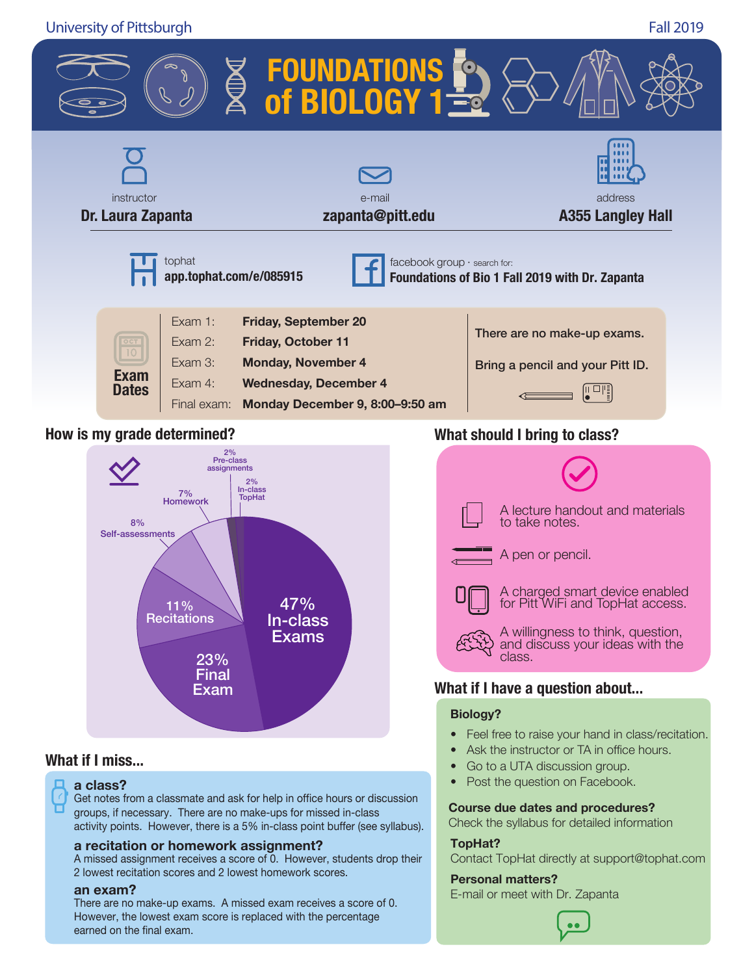University of Pittsburgh Fall 2019





### **What if I miss...**

### **a class?**

Get notes from a classmate and ask for help in office hours or discussion groups, if necessary. There are no make-ups for missed in-class activity points. However, there is a 5% in-class point buffer (see syllabus).

#### **a recitation or homework assignment?**

A missed assignment receives a score of 0. However, students drop their 2 lowest recitation scores and 2 lowest homework scores.

#### **an exam?**

There are no make-up exams. A missed exam receives a score of 0. However, the lowest exam score is replaced with the percentage earned on the final exam.



### **What if I have a question about...**

#### **Biology?**

- Feel free to raise your hand in class/recitation.
- Ask the instructor or TA in office hours.
- Go to a UTA discussion group.
- Post the question on Facebook.

#### **Course due dates and procedures?**

Check the syllabus for detailed information

#### **TopHat?**

Contact TopHat directly at support@tophat.com

#### **Personal matters?**

E-mail or meet with Dr. Zapanta